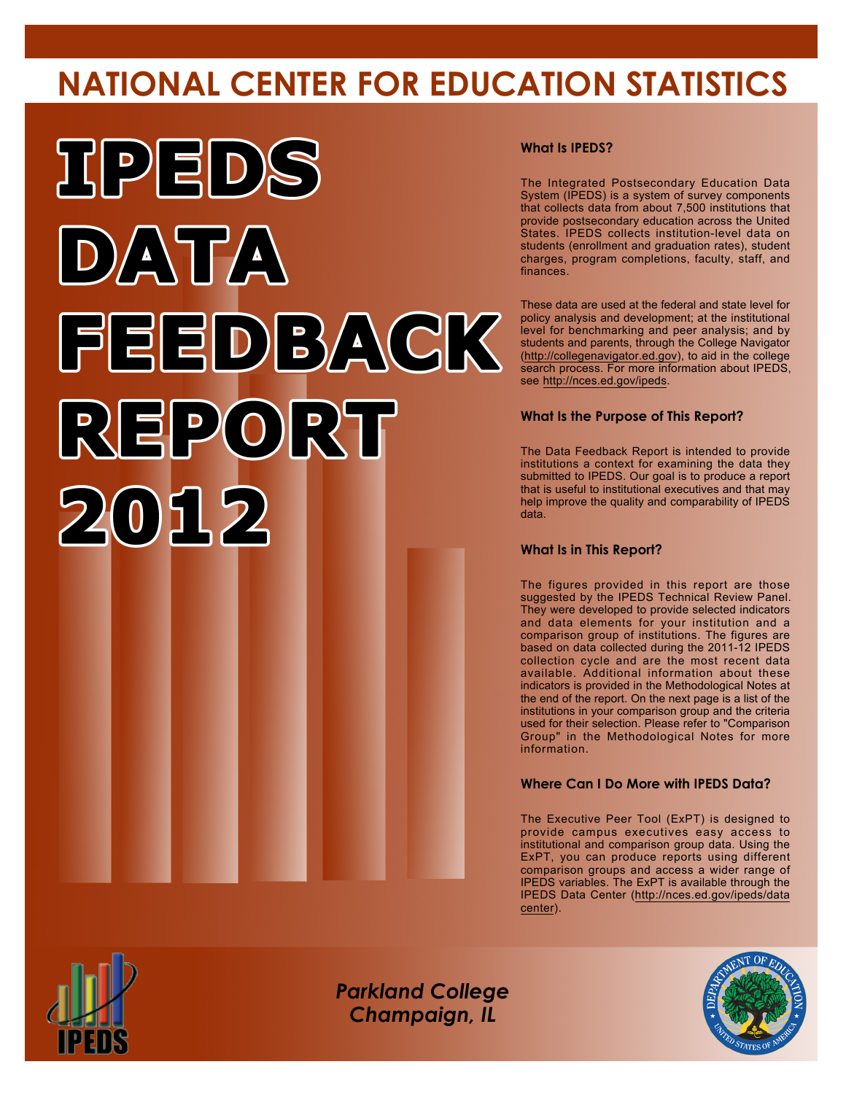# **NATIONAL CENTER FOR EDUCATION STATISTICS**



#### **What Is IPEDS?**

The Integrated Postsecondary Education Data System (IPEDS) is a system of survey components that collects data from about 7,500 institutions that provide postsecondary education across the United States. IPEDS collects institution-level data on students (enrollment and graduation rates), student charges, program completions, faculty, staff, and finances.

These data are used at the federal and state level for policy analysis and development; at the institutional level for benchmarking and peer analysis; and by students and parents, through the College Navigator (<http://collegenavigator.ed.gov>), to aid in the college search process. For more information about IPEDS, see [http://nces.ed.gov/ipeds.](http://nces.ed.gov/ipeds)

#### **What Is the Purpose of This Report?**

The Data Feedback Report is intended to provide institutions a context for examining the data they submitted to IPEDS. Our goal is to produce a report that is useful to institutional executives and that may help improve the quality and comparability of IPEDS data.

#### **What Is in This Report?**

The figures provided in this report are those suggested by the IPEDS Technical Review Panel. They were developed to provide selected indicators and data elements for your institution and a comparison group of institutions. The figures are based on data collected during the 2011-12 IPEDS collection cycle and are the most recent data available. Additional information about these indicators is provided in the Methodological Notes at the end of the report. On the next page is a list of the institutions in your comparison group and the criteria used for their selection. Please refer to "Comparison Group" in the Methodological Notes for more information.

#### **Where Can I Do More with IPEDS Data?**

The Executive Peer Tool (ExPT) is designed to provide campus executives easy access to institutional and comparison group data. Using the ExPT, you can produce reports using different comparison groups and access a wider range of IPEDS variables. The ExPT is available through the IPEDS Data Center ([http://nces.ed.gov/ipeds/data](http://nces.ed.gov/ipeds/datacenter) [center](http://nces.ed.gov/ipeds/datacenter)).



Image description. Cover Image End of image description.

*Parkland College Champaign, IL*

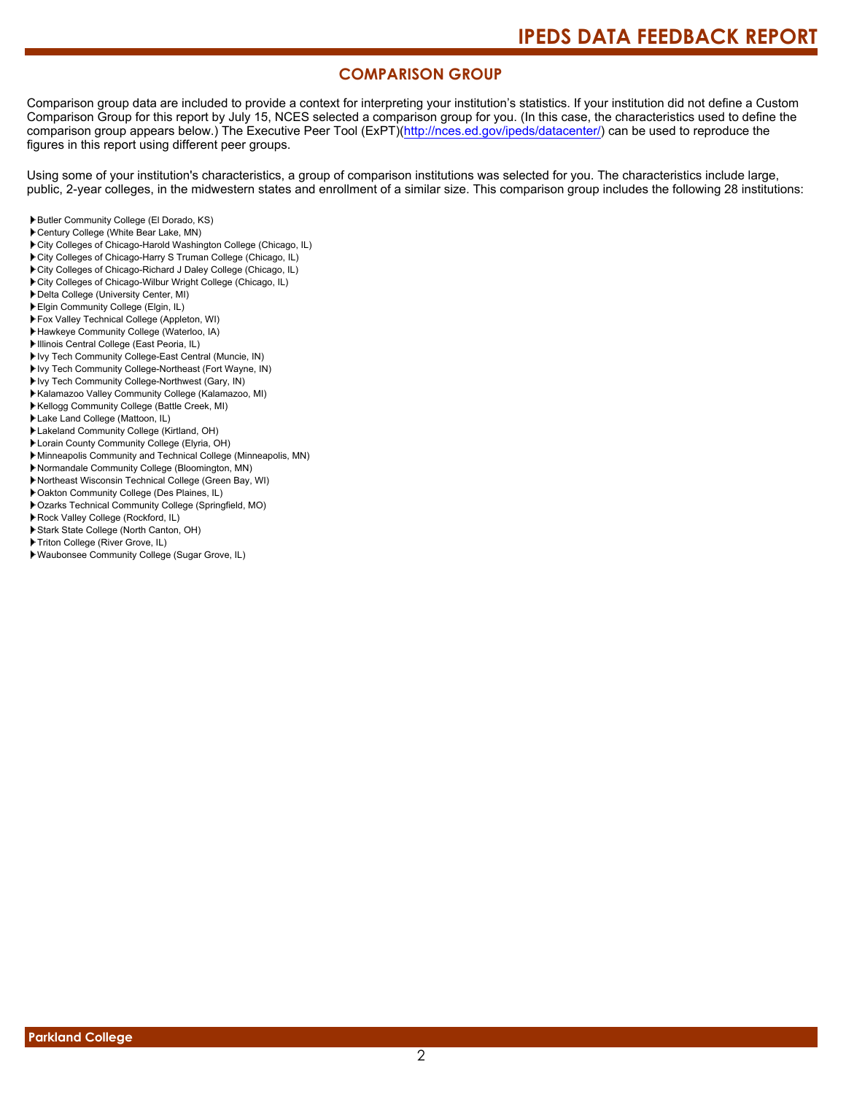### **COMPARISON GROUP**

Comparison group data are included to provide a context for interpreting your institution's statistics. If your institution did not define a Custom Comparison Group for this report by July 15, NCES selected a comparison group for you. (In this case, the characteristics used to define the comparison group appears below.) The Executive Peer Tool (ExPT)[\(http://nces.ed.gov/ipeds/datacenter/\)](http://nces.ed.gov/ipeds/datacenter/) can be used to reproduce the figures in this report using different peer groups.

Using some of your institution's characteristics, a group of comparison institutions was selected for you. The characteristics include large, public, 2-year colleges, in the midwestern states and enrollment of a similar size. This comparison group includes the following 28 institutions:

- Butler Community College (El Dorado, KS)
- Century College (White Bear Lake, MN)
- City Colleges of Chicago-Harold Washington College (Chicago, IL)
- City Colleges of Chicago-Harry S Truman College (Chicago, IL)
- City Colleges of Chicago-Richard J Daley College (Chicago, IL)
- City Colleges of Chicago-Wilbur Wright College (Chicago, IL)
- Delta College (University Center, MI)
- Elgin Community College (Elgin, IL)
- Fox Valley Technical College (Appleton, WI)
- Hawkeye Community College (Waterloo, IA)
- Illinois Central College (East Peoria, IL)
- Ivy Tech Community College-East Central (Muncie, IN)
- Ivy Tech Community College-Northeast (Fort Wayne, IN)
- Ivy Tech Community College-Northwest (Gary, IN)
- Kalamazoo Valley Community College (Kalamazoo, MI)
- Kellogg Community College (Battle Creek, MI)
- Lake Land College (Mattoon, IL)
- Lakeland Community College (Kirtland, OH)
- Lorain County Community College (Elyria, OH)
- Minneapolis Community and Technical College (Minneapolis, MN)
- Normandale Community College (Bloomington, MN)
- Northeast Wisconsin Technical College (Green Bay, WI)
- Oakton Community College (Des Plaines, IL)
- Ozarks Technical Community College (Springfield, MO)
- Rock Valley College (Rockford, IL)
- Stark State College (North Canton, OH)
- Triton College (River Grove, IL)
- Waubonsee Community College (Sugar Grove, IL)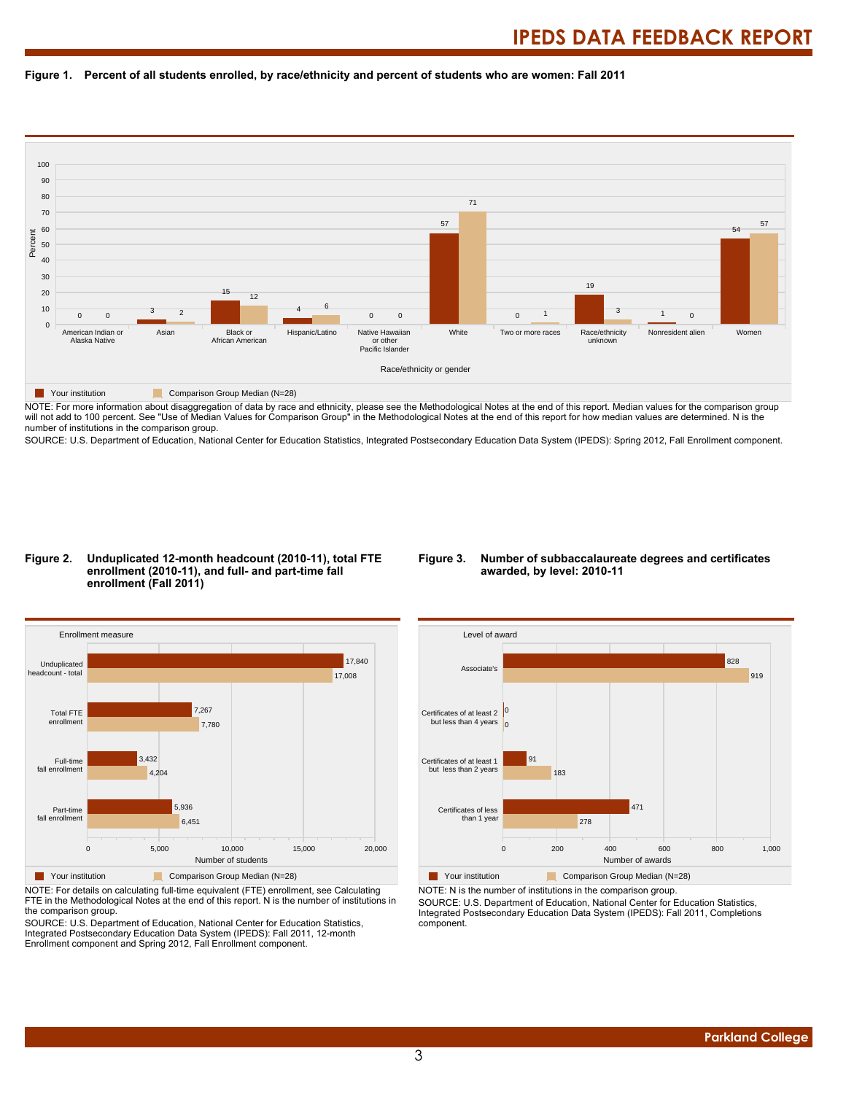#### **Figure 1. Percent of all students enrolled, by race/ethnicity and percent of students who are women: Fall 2011**



NOTE: For more information about disaggregation of data by race and ethnicity, please see the Methodological Notes at the end of this report. Median values for the comparison group will not add to 100 percent. See "Use of Median Values for Comparison Group" in the Methodological Notes at the end of this report for how median values are determined. N is the number of institutions in the comparison group.

SOURCE: U.S. Department of Education, National Center for Education Statistics, Integrated Postsecondary Education Data System (IPEDS): Spring 2012, Fall Enrollment component.

#### **Figure 2. Unduplicated 12-month headcount (2010-11), total FTE enrollment (2010-11), and full- and part-time fall enrollment (Fall 2011)**

#### **Figure 3. Number of subbaccalaureate degrees and certificates awarded, by level: 2010-11**



NOTE: For details on calculating full-time equivalent (FTE) enrollment, see Calculating FTE in the Methodological Notes at the end of this report. N is the number of institutions in the comparison group.

SOURCE: U.S. Department of Education, National Center for Education Statistics, Integrated Postsecondary Education Data System (IPEDS): Fall 2011, 12-month Enrollment component and Spring 2012, Fall Enrollment component.



NOTE: N is the number of institutions in the comparison group.

SOURCE: U.S. Department of Education, National Center for Education Statistics, Integrated Postsecondary Education Data System (IPEDS): Fall 2011, Completions component.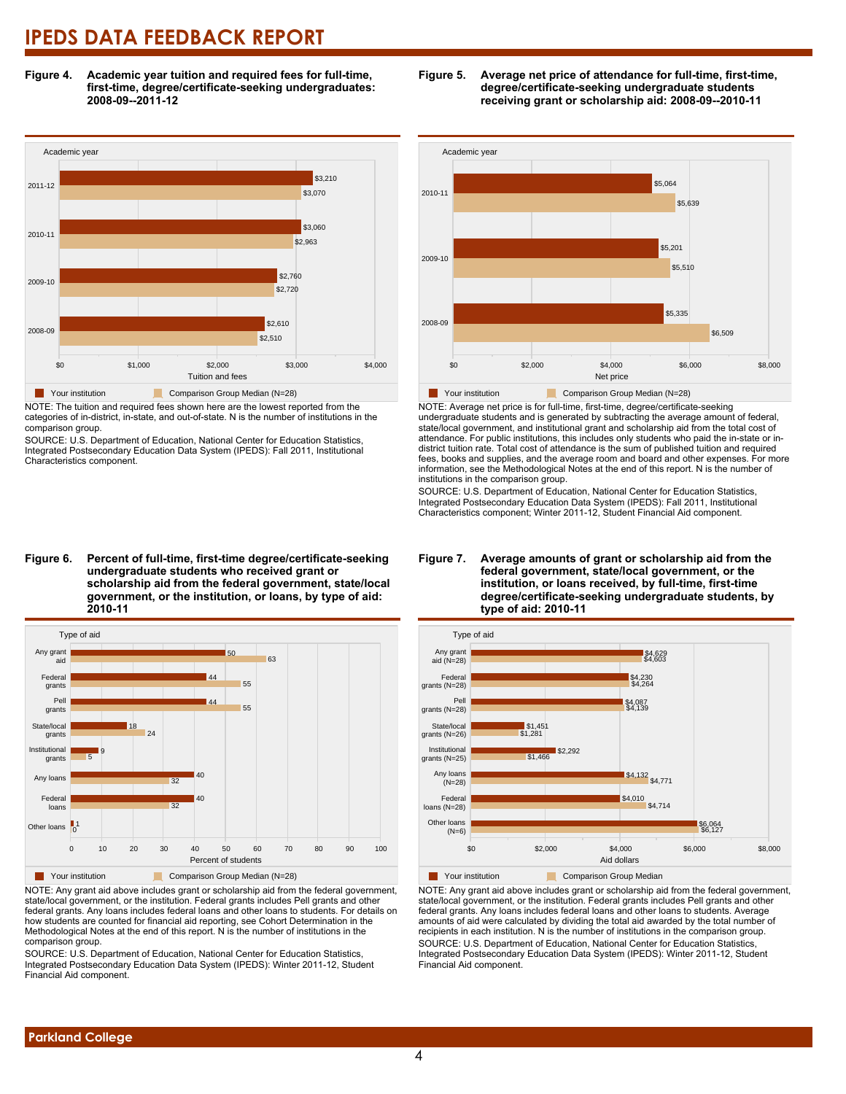**Figure 4. Academic year tuition and required fees for full-time, first-time, degree/certificate-seeking undergraduates: 2008-09--2011-12**



NOTE: The tuition and required fees shown here are the lowest reported from the categories of in-district, in-state, and out-of-state. N is the number of institutions in the comparison group.

SOURCE: U.S. Department of Education, National Center for Education Statistics, Integrated Postsecondary Education Data System (IPEDS): Fall 2011, Institutional Characteristics component.



**Figure 5. Average net price of attendance for full-time, first-time, degree/certificate-seeking undergraduate students receiving grant or scholarship aid: 2008-09--2010-11**



NOTE: Average net price is for full-time, first-time, degree/certificate-seeking undergraduate students and is generated by subtracting the average amount of federal, state/local government, and institutional grant and scholarship aid from the total cost of attendance. For public institutions, this includes only students who paid the in-state or indistrict tuition rate. Total cost of attendance is the sum of published tuition and required fees, books and supplies, and the average room and board and other expenses. For more information, see the Methodological Notes at the end of this report. N is the number of

SOURCE: U.S. Department of Education, National Center for Education Statistics, Integrated Postsecondary Education Data System (IPEDS): Fall 2011, Institutional Characteristics component; Winter 2011-12, Student Financial Aid component.



#### **Figure 7. Average amounts of grant or scholarship aid from the federal government, state/local government, or the institution, or loans received, by full-time, first-time degree/certificate-seeking undergraduate students, by type of aid: 2010-11**

**T** Your institution Comparison Group Median NOTE: Any grant aid above includes grant or scholarship aid from the federal government, state/local government, or the institution. Federal grants includes Pell grants and other

federal grants. Any loans includes federal loans and other loans to students. Average amounts of aid were calculated by dividing the total aid awarded by the total number of recipients in each institution. N is the number of institutions in the comparison group. SOURCE: U.S. Department of Education, National Center for Education Statistics, Integrated Postsecondary Education Data System (IPEDS): Winter 2011-12, Student Financial Aid component.

#### **Figure 6. Percent of full-time, first-time degree/certificate-seeking undergraduate students who received grant or scholarship aid from the federal government, state/local government, or the institution, or loans, by type of aid: 2010-11**



NOTE: Any grant aid above includes grant or scholarship aid from the federal government, state/local government, or the institution. Federal grants includes Pell grants and other federal grants. Any loans includes federal loans and other loans to students. For details on how students are counted for financial aid reporting, see Cohort Determination in the Methodological Notes at the end of this report. N is the number of institutions in the comparison group.

SOURCE: U.S. Department of Education, National Center for Education Statistics, Integrated Postsecondary Education Data System (IPEDS): Winter 2011-12, Student Financial Aid component.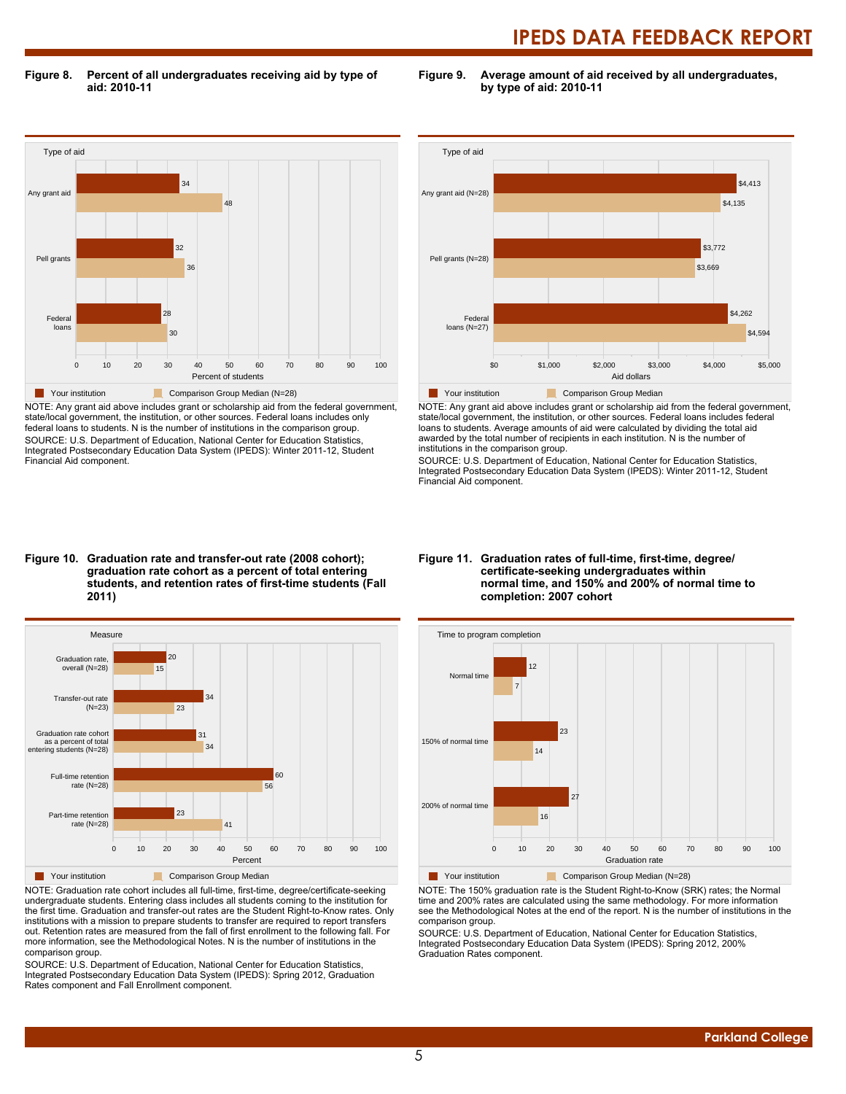**Figure 8. Percent of all undergraduates receiving aid by type of aid: 2010-11**

**Figure 9. Average amount of aid received by all undergraduates, by type of aid: 2010-11**



NOTE: Any grant aid above includes grant or scholarship aid from the federal government, state/local government, the institution, or other sources. Federal loans includes only federal loans to students. N is the number of institutions in the comparison group. SOURCE: U.S. Department of Education, National Center for Education Statistics, Integrated Postsecondary Education Data System (IPEDS): Winter 2011-12, Student Financial Aid component.



NOTE: Any grant aid above includes grant or scholarship aid from the federal government, state/local government, the institution, or other sources. Federal loans includes federal loans to students. Average amounts of aid were calculated by dividing the total aid awarded by the total number of recipients in each institution. N is the number of institutions in the comparison group.

SOURCE: U.S. Department of Education, National Center for Education Statistics, Integrated Postsecondary Education Data System (IPEDS): Winter 2011-12, Student Financial Aid component.

#### **Figure 10. Graduation rate and transfer-out rate (2008 cohort); graduation rate cohort as a percent of total entering students, and retention rates of first-time students (Fall 2011)**



NOTE: Graduation rate cohort includes all full-time, first-time, degree/certificate-seeking undergraduate students. Entering class includes all students coming to the institution for the first time. Graduation and transfer-out rates are the Student Right-to-Know rates. Only institutions with a mission to prepare students to transfer are required to report transfers out. Retention rates are measured from the fall of first enrollment to the following fall. For more information, see the Methodological Notes. N is the number of institutions in the comparison group.

SOURCE: U.S. Department of Education, National Center for Education Statistics, Integrated Postsecondary Education Data System (IPEDS): Spring 2012, Graduation Rates component and Fall Enrollment component.

#### **Figure 11. Graduation rates of full-time, first-time, degree/ certificate-seeking undergraduates within normal time, and 150% and 200% of normal time to completion: 2007 cohort**



**Your institution** Comparison Group Median (N=28)

NOTE: The 150% graduation rate is the Student Right-to-Know (SRK) rates; the Normal time and 200% rates are calculated using the same methodology. For more information see the Methodological Notes at the end of the report. N is the number of institutions in the comparison group.

SOURCE: U.S. Department of Education, National Center for Education Statistics, Integrated Postsecondary Education Data System (IPEDS): Spring 2012, 200% Graduation Rates component.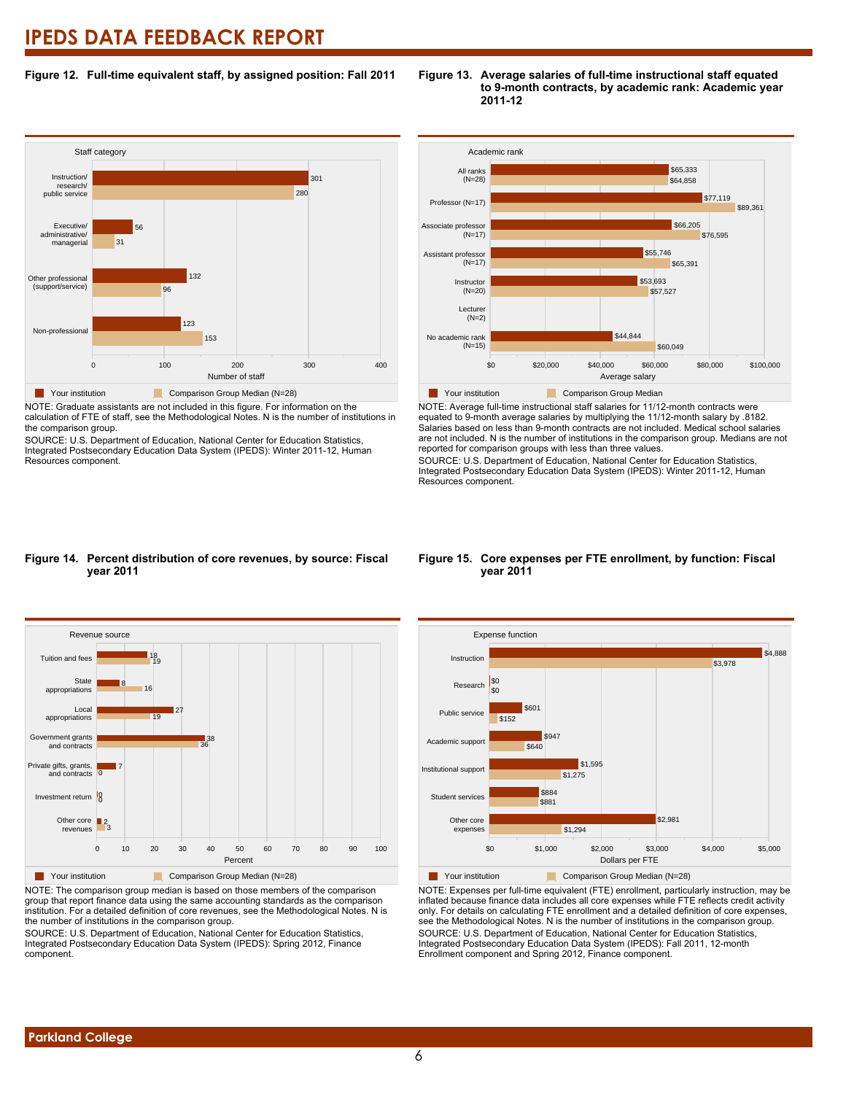#### **Figure 12. Full-time equivalent staff, by assigned position: Fall 2011**

#### **Staff category** 0 100 100 200 300 300 400 Number of staff Non-professional Other professional (support/service) Executive/ administrative/ managerial Instruction/ research/ public service 153 123 96 132 31 56 280 301 Your institution Comparison Group Median (N=28)

NOTE: Graduate assistants are not included in this figure. For information on the calculation of FTE of staff, see the Methodological Notes. N is the number of institutions in the comparison group.

SOURCE: U.S. Department of Education, National Center for Education Statistics, Integrated Postsecondary Education Data System (IPEDS): Winter 2011-12, Human Resources component.



**Figure 13. Average salaries of full-time instructional staff equated**

**2011-12**

**to 9-month contracts, by academic rank: Academic year**

NOTE: Average full-time instructional staff salaries for 11/12-month contracts were equated to 9-month average salaries by multiplying the 11/12-month salary by .8182. Salaries based on less than 9-month contracts are not included. Medical school salaries are not included. N is the number of institutions in the comparison group. Medians are not reported for comparison groups with less than three values.

SOURCE: U.S. Department of Education, National Center for Education Statistics, Integrated Postsecondary Education Data System (IPEDS): Winter 2011-12, Human Resources component.

#### **Figure 14. Percent distribution of core revenues, by source: Fiscal year 2011**



NOTE: The comparison group median is based on those members of the comparison group that report finance data using the same accounting standards as the comparison institution. For a detailed definition of core revenues, see the Methodological Notes. N is the number of institutions in the comparison group.

SOURCE: U.S. Department of Education, National Center for Education Statistics, Integrated Postsecondary Education Data System (IPEDS): Spring 2012, Finance component.

#### **Figure 15. Core expenses per FTE enrollment, by function: Fiscal year 2011**



NOTE: Expenses per full-time equivalent (FTE) enrollment, particularly instruction, may be inflated because finance data includes all core expenses while FTE reflects credit activity only. For details on calculating FTE enrollment and a detailed definition of core expenses, see the Methodological Notes. N is the number of institutions in the comparison group. SOURCE: U.S. Department of Education, National Center for Education Statistics, Integrated Postsecondary Education Data System (IPEDS): Fall 2011, 12-month Enrollment component and Spring 2012, Finance component.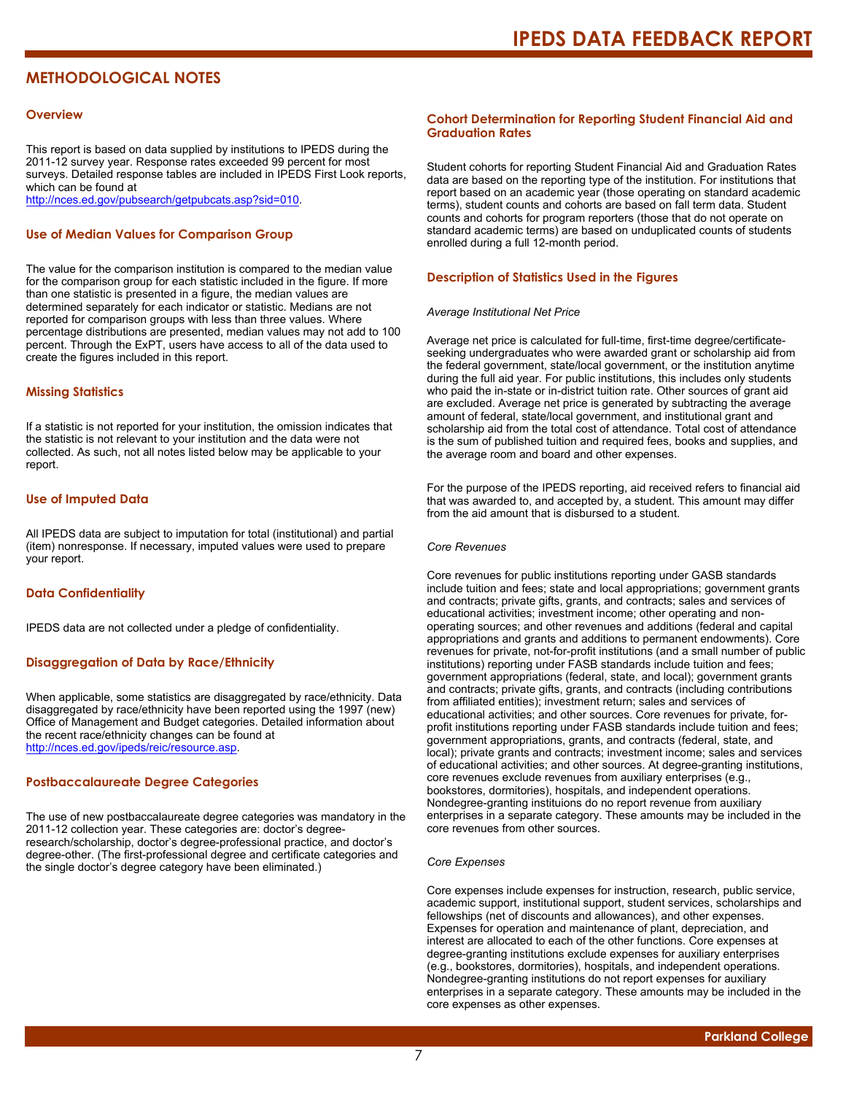### **METHODOLOGICAL NOTES**

#### **Overview**

This report is based on data supplied by institutions to IPEDS during the 2011-12 survey year. Response rates exceeded 99 percent for most surveys. Detailed response tables are included in IPEDS First Look reports, which can be found at [http://nces.ed.gov/pubsearch/getpubcats.asp?sid=010.](http://nces.ed.gov/pubsearch/getpubcats.asp?sid=010)

#### **Use of Median Values for Comparison Group**

The value for the comparison institution is compared to the median value for the comparison group for each statistic included in the figure. If more than one statistic is presented in a figure, the median values are determined separately for each indicator or statistic. Medians are not reported for comparison groups with less than three values. Where percentage distributions are presented, median values may not add to 100 percent. Through the ExPT, users have access to all of the data used to create the figures included in this report.

#### **Missing Statistics**

If a statistic is not reported for your institution, the omission indicates that the statistic is not relevant to your institution and the data were not collected. As such, not all notes listed below may be applicable to your report.

#### **Use of Imputed Data**

All IPEDS data are subject to imputation for total (institutional) and partial (item) nonresponse. If necessary, imputed values were used to prepare your report.

#### **Data Confidentiality**

IPEDS data are not collected under a pledge of confidentiality.

#### **Disaggregation of Data by Race/Ethnicity**

When applicable, some statistics are disaggregated by race/ethnicity. Data disaggregated by race/ethnicity have been reported using the 1997 (new) Office of Management and Budget categories. Detailed information about the recent race/ethnicity changes can be found at <http://nces.ed.gov/ipeds/reic/resource.asp>.

#### **Postbaccalaureate Degree Categories**

The use of new postbaccalaureate degree categories was mandatory in the 2011-12 collection year. These categories are: doctor's degreeresearch/scholarship, doctor's degree-professional practice, and doctor's degree-other. (The first-professional degree and certificate categories and the single doctor's degree category have been eliminated.)

#### **Cohort Determination for Reporting Student Financial Aid and Graduation Rates**

Student cohorts for reporting Student Financial Aid and Graduation Rates data are based on the reporting type of the institution. For institutions that report based on an academic year (those operating on standard academic terms), student counts and cohorts are based on fall term data. Student counts and cohorts for program reporters (those that do not operate on standard academic terms) are based on unduplicated counts of students enrolled during a full 12-month period.

#### **Description of Statistics Used in the Figures**

#### *Average Institutional Net Price*

Average net price is calculated for full-time, first-time degree/certificateseeking undergraduates who were awarded grant or scholarship aid from the federal government, state/local government, or the institution anytime during the full aid year. For public institutions, this includes only students who paid the in-state or in-district tuition rate. Other sources of grant aid are excluded. Average net price is generated by subtracting the average amount of federal, state/local government, and institutional grant and scholarship aid from the total cost of attendance. Total cost of attendance is the sum of published tuition and required fees, books and supplies, and the average room and board and other expenses.

For the purpose of the IPEDS reporting, aid received refers to financial aid that was awarded to, and accepted by, a student. This amount may differ from the aid amount that is disbursed to a student.

#### *Core Revenues*

Core revenues for public institutions reporting under GASB standards include tuition and fees; state and local appropriations; government grants and contracts; private gifts, grants, and contracts; sales and services of educational activities; investment income; other operating and nonoperating sources; and other revenues and additions (federal and capital appropriations and grants and additions to permanent endowments). Core revenues for private, not-for-profit institutions (and a small number of public institutions) reporting under FASB standards include tuition and fees; government appropriations (federal, state, and local); government grants and contracts; private gifts, grants, and contracts (including contributions from affiliated entities); investment return; sales and services of educational activities; and other sources. Core revenues for private, forprofit institutions reporting under FASB standards include tuition and fees; government appropriations, grants, and contracts (federal, state, and local); private grants and contracts; investment income; sales and services of educational activities; and other sources. At degree-granting institutions, core revenues exclude revenues from auxiliary enterprises (e.g., bookstores, dormitories), hospitals, and independent operations. Nondegree-granting instituions do no report revenue from auxiliary enterprises in a separate category. These amounts may be included in the core revenues from other sources.

#### *Core Expenses*

Core expenses include expenses for instruction, research, public service, academic support, institutional support, student services, scholarships and fellowships (net of discounts and allowances), and other expenses. Expenses for operation and maintenance of plant, depreciation, and interest are allocated to each of the other functions. Core expenses at degree-granting institutions exclude expenses for auxiliary enterprises (e.g., bookstores, dormitories), hospitals, and independent operations. Nondegree-granting institutions do not report expenses for auxiliary enterprises in a separate category. These amounts may be included in the core expenses as other expenses.